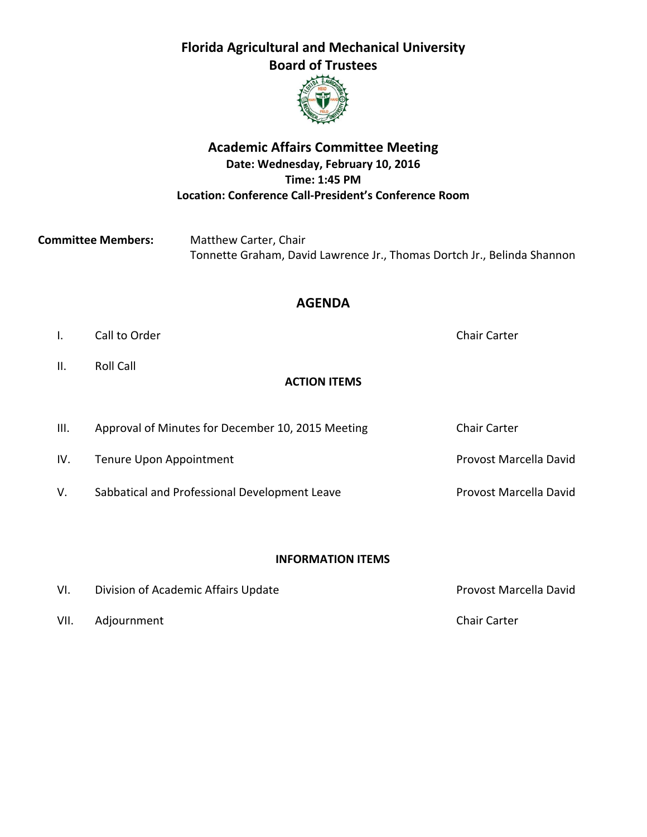# **Florida Agricultural and Mechanical University Board of Trustees**



# **Academic Affairs Committee Meeting Date: Wednesday, February 10, 2016 Time: 1:45 PM Location: Conference Call‐President's Conference Room**

| <b>Committee Members:</b> | Matthew Carter, Chair                                                   |  |  |  |  |
|---------------------------|-------------------------------------------------------------------------|--|--|--|--|
|                           | Tonnette Graham, David Lawrence Jr., Thomas Dortch Jr., Belinda Shannon |  |  |  |  |

### **AGENDA**

- I. Call to Order **1. All 1. Call to Order 1. All 1. Call to Order 1. All 1. Call 1. Carter Chair Carter**
- II. Roll Call

# **ACTION ITEMS**

III. Approval of Minutes for December 10, 2015 Meeting Chair Carter IV. Tenure Upon Appointment **IV.** Tenure Upon Appointment V. Sabbatical and Professional Development Leave **Sabbatical and Professional Development Leave Provost Marcella David** 

## **INFORMATION ITEMS**

| VI.  | Division of Academic Affairs Update | Provost Marcella David |
|------|-------------------------------------|------------------------|
| VII. | Adjournment                         | <b>Chair Carter</b>    |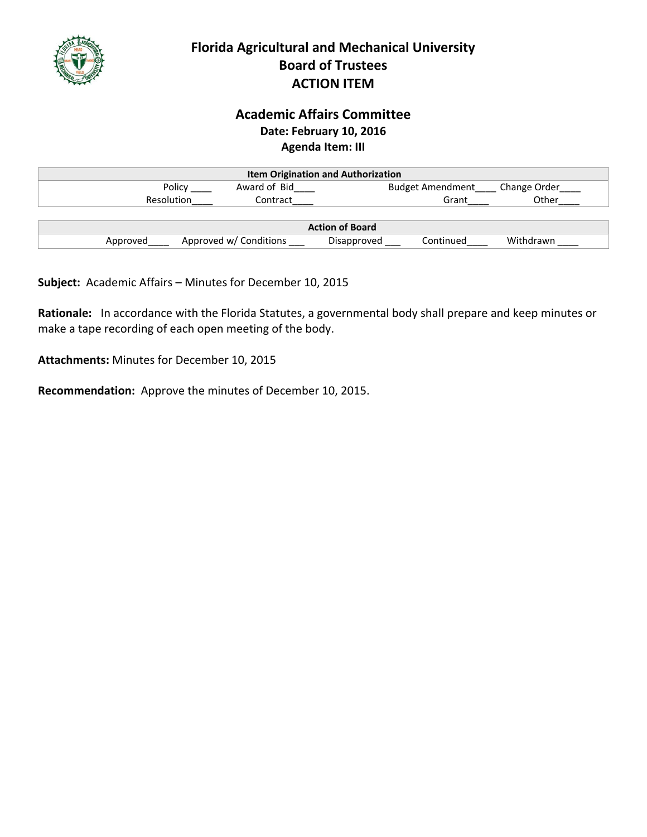

# **Florida Agricultural and Mechanical University Board of Trustees ACTION ITEM**

# **Academic Affairs Committee Date: February 10, 2016 Agenda Item: III**

| <b>Item Origination and Authorization</b> |                        |             |                         |              |  |
|-------------------------------------------|------------------------|-------------|-------------------------|--------------|--|
| Policy                                    | Award of Bid           |             | <b>Budget Amendment</b> | Change Order |  |
| Resolution                                | Contract               |             | Grant                   | Other        |  |
|                                           |                        |             |                         |              |  |
| <b>Action of Board</b>                    |                        |             |                         |              |  |
| Approved                                  | Approved w/ Conditions | Disapproved | Continued               | Withdrawn    |  |

**Subject:** Academic Affairs – Minutes for December 10, 2015

**Rationale:** In accordance with the Florida Statutes, a governmental body shall prepare and keep minutes or make a tape recording of each open meeting of the body.

**Attachments:** Minutes for December 10, 2015

**Recommendation:** Approve the minutes of December 10, 2015.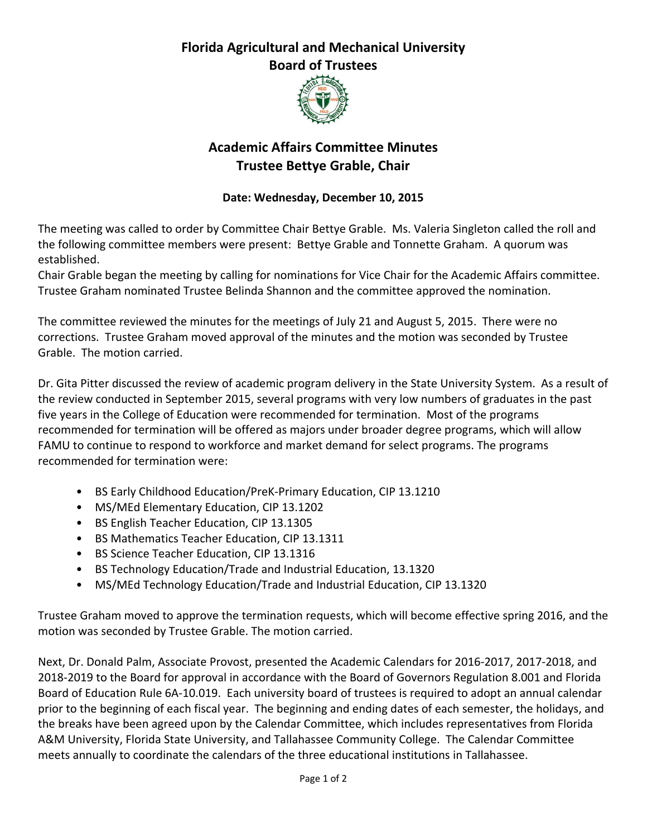# **Florida Agricultural and Mechanical University Board of Trustees**



# **Academic Affairs Committee Minutes Trustee Bettye Grable, Chair**

## **Date: Wednesday, December 10, 2015**

The meeting was called to order by Committee Chair Bettye Grable. Ms. Valeria Singleton called the roll and the following committee members were present: Bettye Grable and Tonnette Graham. A quorum was established.

Chair Grable began the meeting by calling for nominations for Vice Chair for the Academic Affairs committee. Trustee Graham nominated Trustee Belinda Shannon and the committee approved the nomination.

The committee reviewed the minutes for the meetings of July 21 and August 5, 2015. There were no corrections. Trustee Graham moved approval of the minutes and the motion was seconded by Trustee Grable. The motion carried.

Dr. Gita Pitter discussed the review of academic program delivery in the State University System. As a result of the review conducted in September 2015, several programs with very low numbers of graduates in the past five years in the College of Education were recommended for termination. Most of the programs recommended for termination will be offered as majors under broader degree programs, which will allow FAMU to continue to respond to workforce and market demand for select programs. The programs recommended for termination were:

- BS Early Childhood Education/PreK‐Primary Education, CIP 13.1210
- MS/MEd Elementary Education, CIP 13.1202
- BS English Teacher Education, CIP 13.1305
- BS Mathematics Teacher Education, CIP 13.1311
- BS Science Teacher Education, CIP 13.1316
- BS Technology Education/Trade and Industrial Education, 13.1320
- MS/MEd Technology Education/Trade and Industrial Education, CIP 13.1320

Trustee Graham moved to approve the termination requests, which will become effective spring 2016, and the motion was seconded by Trustee Grable. The motion carried.

Next, Dr. Donald Palm, Associate Provost, presented the Academic Calendars for 2016‐2017, 2017‐2018, and 2018‐2019 to the Board for approval in accordance with the Board of Governors Regulation 8.001 and Florida Board of Education Rule 6A‐10.019. Each university board of trustees is required to adopt an annual calendar prior to the beginning of each fiscal year. The beginning and ending dates of each semester, the holidays, and the breaks have been agreed upon by the Calendar Committee, which includes representatives from Florida A&M University, Florida State University, and Tallahassee Community College. The Calendar Committee meets annually to coordinate the calendars of the three educational institutions in Tallahassee.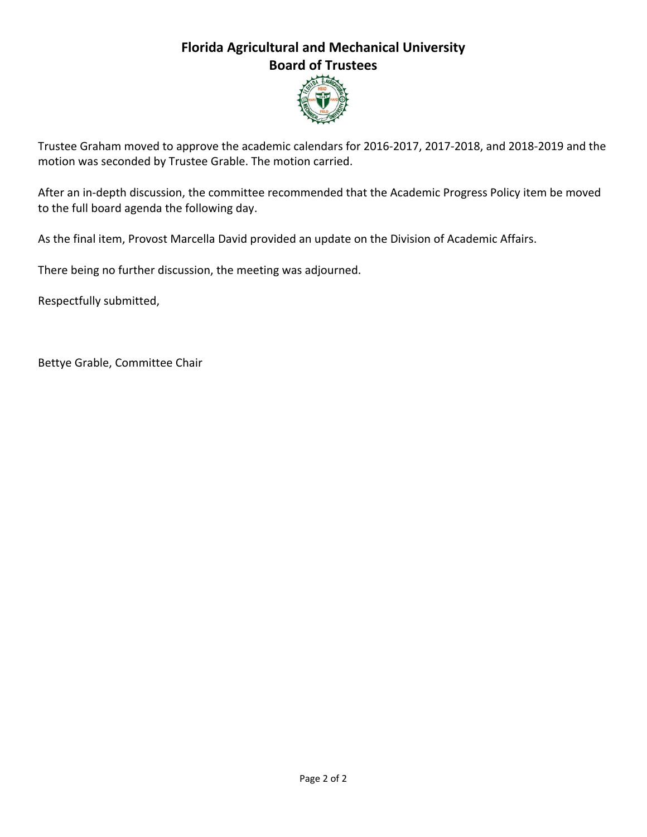# **Florida Agricultural and Mechanical University Board of Trustees**



Trustee Graham moved to approve the academic calendars for 2016‐2017, 2017‐2018, and 2018‐2019 and the motion was seconded by Trustee Grable. The motion carried.

After an in-depth discussion, the committee recommended that the Academic Progress Policy item be moved to the full board agenda the following day.

As the final item, Provost Marcella David provided an update on the Division of Academic Affairs.

There being no further discussion, the meeting was adjourned.

Respectfully submitted,

Bettye Grable, Committee Chair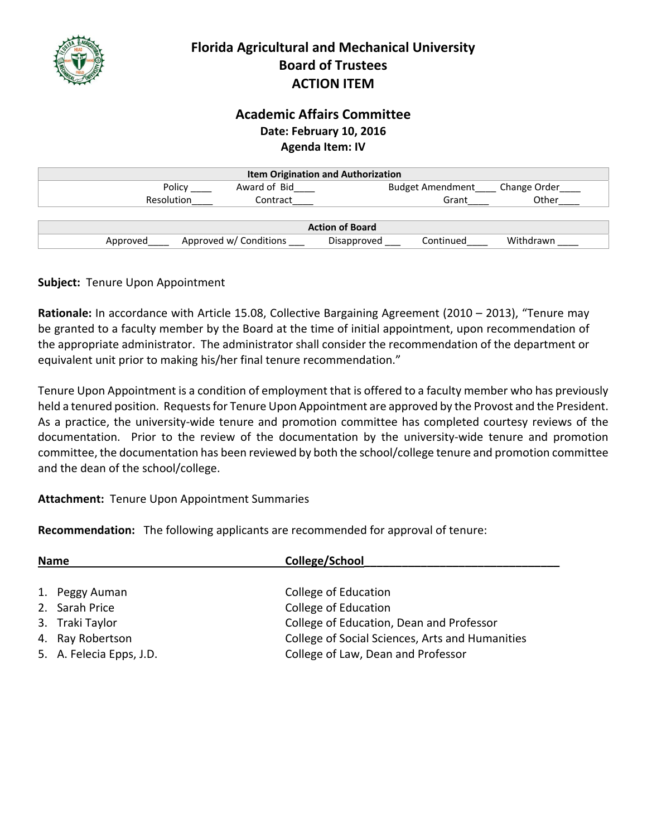

# **Florida Agricultural and Mechanical University Board of Trustees ACTION ITEM**

# **Academic Affairs Committee Date: February 10, 2016 Agenda Item: IV**

| <b>Item Origination and Authorization</b> |                        |                          |              |  |  |
|-------------------------------------------|------------------------|--------------------------|--------------|--|--|
| Policy                                    | Award of Bid           | <b>Budget Amendment</b>  | Change Order |  |  |
| Resolution                                | Contract               | Grant                    | Other        |  |  |
|                                           |                        |                          |              |  |  |
| <b>Action of Board</b>                    |                        |                          |              |  |  |
| Approved                                  | Approved w/ Conditions | Continued<br>Disapproved | Withdrawn    |  |  |

### **Subject:** Tenure Upon Appointment

**Rationale:** In accordance with Article 15.08, Collective Bargaining Agreement (2010 – 2013), "Tenure may be granted to a faculty member by the Board at the time of initial appointment, upon recommendation of the appropriate administrator. The administrator shall consider the recommendation of the department or equivalent unit prior to making his/her final tenure recommendation."

Tenure Upon Appointment is a condition of employment that is offered to a faculty member who has previously held a tenured position. Requests for Tenure Upon Appointment are approved by the Provost and the President. As a practice, the university‐wide tenure and promotion committee has completed courtesy reviews of the documentation. Prior to the review of the documentation by the university-wide tenure and promotion committee, the documentation has been reviewed by both the school/college tenure and promotion committee and the dean of the school/college.

### **Attachment:** Tenure Upon Appointment Summaries

**Recommendation:** The following applicants are recommended for approval of tenure:

| College/School<br><b>Name</b> |                          |                                                 |
|-------------------------------|--------------------------|-------------------------------------------------|
|                               |                          |                                                 |
|                               | 1. Peggy Auman           | College of Education                            |
|                               | 2. Sarah Price           | College of Education                            |
|                               | 3. Traki Taylor          | College of Education, Dean and Professor        |
|                               | 4. Ray Robertson         | College of Social Sciences, Arts and Humanities |
|                               | 5. A. Felecia Epps, J.D. | College of Law, Dean and Professor              |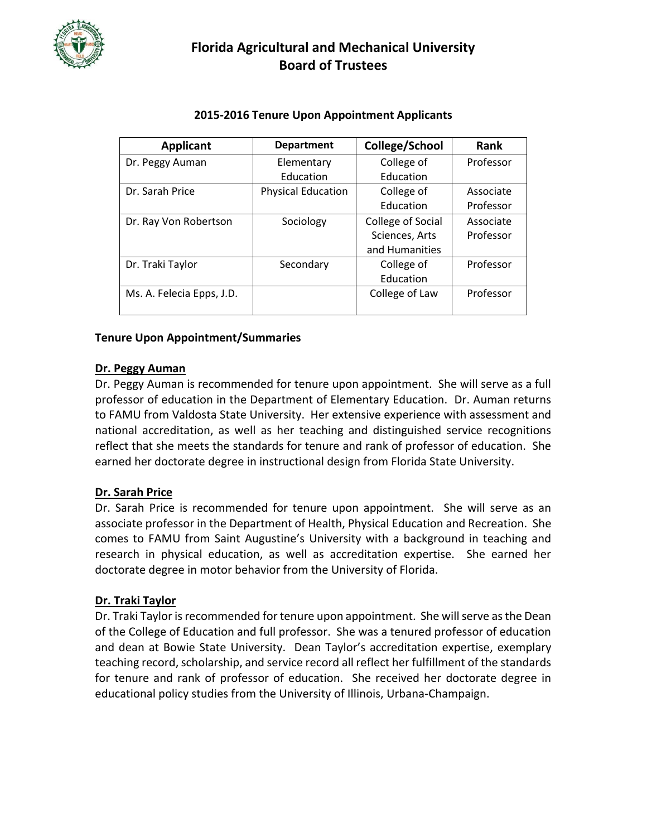

# **Florida Agricultural and Mechanical University Board of Trustees**

| <b>Department</b>         | College/School    | <b>Rank</b> |
|---------------------------|-------------------|-------------|
| Elementary                | College of        | Professor   |
| Education                 | Education         |             |
| <b>Physical Education</b> | College of        | Associate   |
|                           | Education         | Professor   |
| Sociology                 | College of Social | Associate   |
|                           | Sciences, Arts    | Professor   |
|                           | and Humanities    |             |
| Secondary                 | College of        | Professor   |
|                           | Education         |             |
|                           | College of Law    | Professor   |
|                           |                   |             |

#### **2015-2016 Tenure Upon Appointment Applicants**

#### **Tenure Upon Appointment/Summaries**

#### **Dr. Peggy Auman**

Dr. Peggy Auman is recommended for tenure upon appointment. She will serve as a full professor of education in the Department of Elementary Education. Dr. Auman returns to FAMU from Valdosta State University. Her extensive experience with assessment and national accreditation, as well as her teaching and distinguished service recognitions reflect that she meets the standards for tenure and rank of professor of education. She earned her doctorate degree in instructional design from Florida State University.

#### **Dr. Sarah Price**

Dr. Sarah Price is recommended for tenure upon appointment. She will serve as an associate professor in the Department of Health, Physical Education and Recreation. She comes to FAMU from Saint Augustine's University with a background in teaching and research in physical education, as well as accreditation expertise. She earned her doctorate degree in motor behavior from the University of Florida.

#### **Dr. Traki Taylor**

Dr. Traki Taylor is recommended for tenure upon appointment. She will serve as the Dean of the College of Education and full professor. She was a tenured professor of education and dean at Bowie State University. Dean Taylor's accreditation expertise, exemplary teaching record, scholarship, and service record all reflect her fulfillment of the standards for tenure and rank of professor of education. She received her doctorate degree in educational policy studies from the University of Illinois, Urbana-Champaign.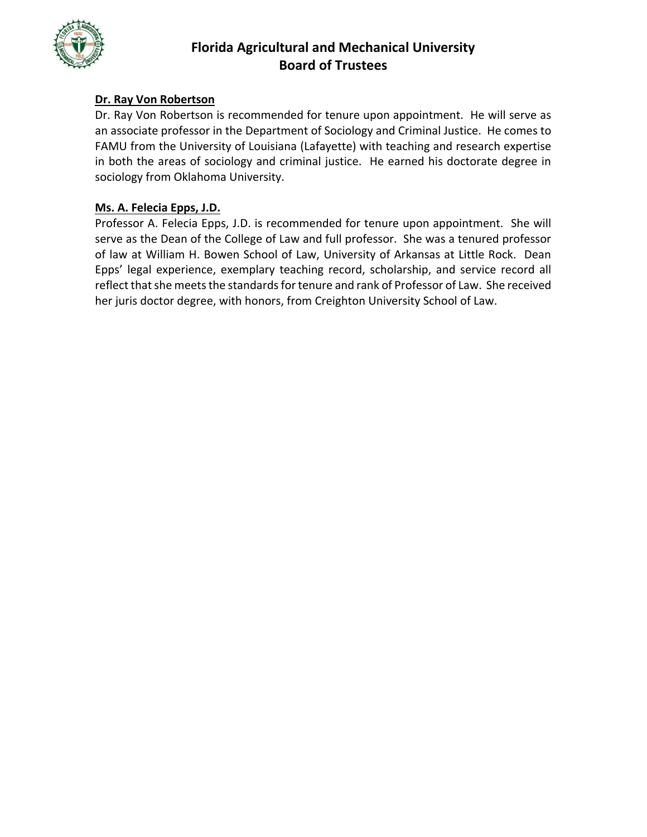

### **Dr. Ray Von Robertson**

Dr. Ray Von Robertson is recommended for tenure upon appointment. He will serve as an associate professor in the Department of Sociology and Criminal Justice. He comes to FAMU from the University of Louisiana (Lafayette) with teaching and research expertise in both the areas of sociology and criminal justice. He earned his doctorate degree in sociology from Oklahoma University.

#### **Ms. A. Felecia Epps, J.D.**

Professor A. Felecia Epps, J.D. is recommended for tenure upon appointment. She will serve as the Dean of the College of Law and full professor. She was a tenured professor of law at William H. Bowen School of Law, University of Arkansas at Little Rock. Dean Epps' legal experience, exemplary teaching record, scholarship, and service record all reflect that she meets the standards for tenure and rank of Professor of Law. She received her juris doctor degree, with honors, from Creighton University School of Law.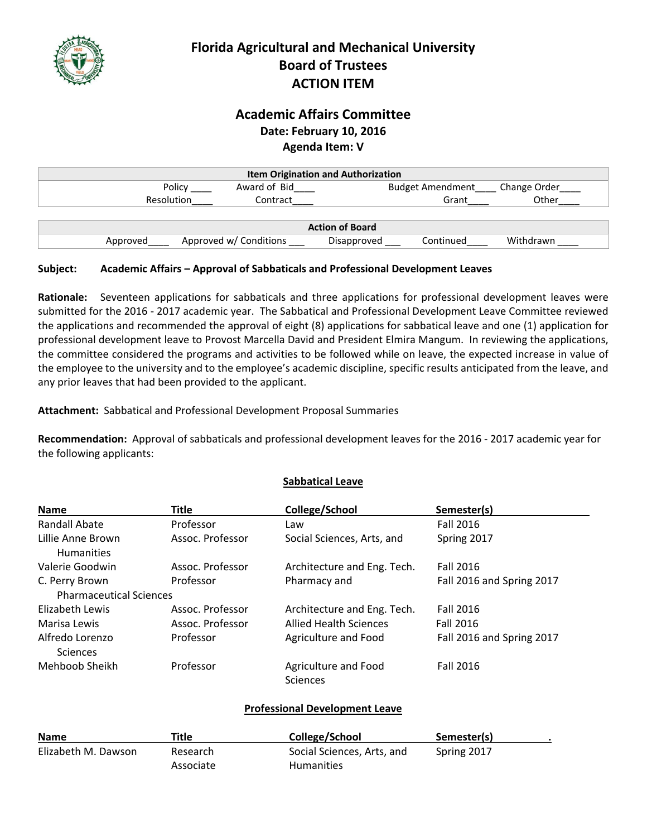

# **Florida Agricultural and Mechanical University Board of Trustees ACTION ITEM**

## **Academic Affairs Committee Date: February 10, 2016 Agenda Item: V**

| <b>Item Origination and Authorization</b> |                               |             |                         |              |  |
|-------------------------------------------|-------------------------------|-------------|-------------------------|--------------|--|
|                                           | Award of Bid<br>Policy        |             | <b>Budget Amendment</b> | Change Order |  |
|                                           | <b>Resolution</b><br>Contract |             | Grant                   | Other        |  |
|                                           |                               |             |                         |              |  |
| <b>Action of Board</b>                    |                               |             |                         |              |  |
| Approved                                  | Approved w/ Conditions        | Disapproved | Continued               | Withdrawn    |  |

#### **Subject: Academic Affairs – Approval of Sabbaticals and Professional Development Leaves**

**Rationale:** Seventeen applications for sabbaticals and three applications for professional development leaves were submitted for the 2016 ‐ 2017 academic year. The Sabbatical and Professional Development Leave Committee reviewed the applications and recommended the approval of eight (8) applications for sabbatical leave and one (1) application for professional development leave to Provost Marcella David and President Elmira Mangum. In reviewing the applications, the committee considered the programs and activities to be followed while on leave, the expected increase in value of the employee to the university and to the employee's academic discipline, specific results anticipated from the leave, and any prior leaves that had been provided to the applicant.

Attachment: Sabbatical and Professional Development Proposal Summaries

**Recommendation:** Approval of sabbaticals and professional development leaves for the 2016 ‐ 2017 academic year for the following applicants:

**Sabbatical Leave**

| <b>Name</b>                            | <b>Title</b>     | College/School                          | Semester(s)               |
|----------------------------------------|------------------|-----------------------------------------|---------------------------|
| Randall Abate                          | Professor        | Law                                     | <b>Fall 2016</b>          |
| Lillie Anne Brown<br><b>Humanities</b> | Assoc. Professor | Social Sciences, Arts, and              | Spring 2017               |
| Valerie Goodwin                        | Assoc. Professor | Architecture and Eng. Tech.             | <b>Fall 2016</b>          |
| C. Perry Brown                         | Professor        | Pharmacy and                            | Fall 2016 and Spring 2017 |
| <b>Pharmaceutical Sciences</b>         |                  |                                         |                           |
| Elizabeth Lewis                        | Assoc. Professor | Architecture and Eng. Tech.             | <b>Fall 2016</b>          |
| Marisa Lewis                           | Assoc. Professor | <b>Allied Health Sciences</b>           | <b>Fall 2016</b>          |
| Alfredo Lorenzo<br>Sciences            | Professor        | Agriculture and Food                    | Fall 2016 and Spring 2017 |
| Mehboob Sheikh                         | Professor        | Agriculture and Food<br><b>Sciences</b> | <b>Fall 2016</b>          |

#### **Professional Development Leave**

| <b>Name</b>         | Title     | College/School             | Semester(s) |  |
|---------------------|-----------|----------------------------|-------------|--|
| Elizabeth M. Dawson | Research  | Social Sciences, Arts, and | Spring 2017 |  |
|                     | Associate | <b>Humanities</b>          |             |  |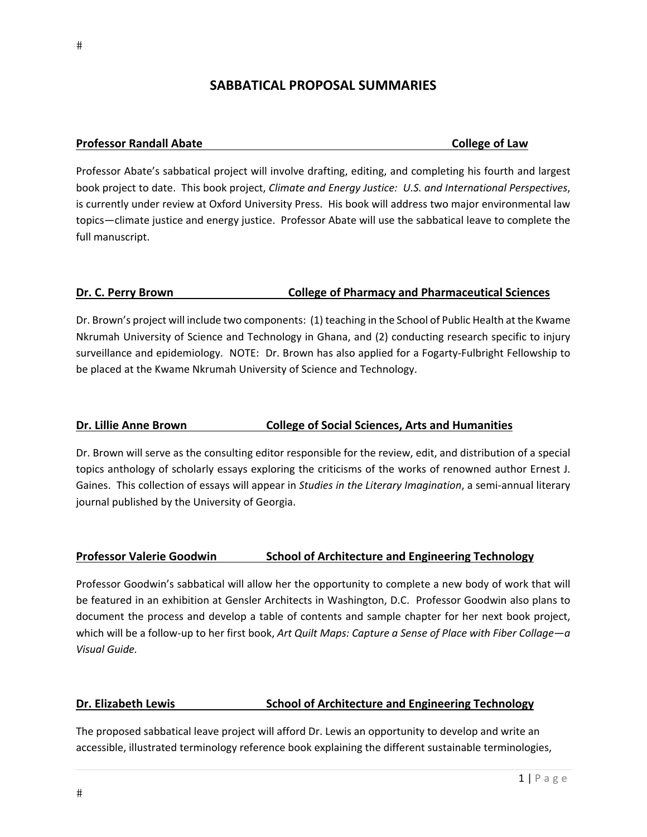# **SABBATICAL PROPOSAL SUMMARIES**

#### **Professor Randall Abate College of Law**

Professor Abate's sabbatical project will involve drafting, editing, and completing his fourth and largest book project to date. This book project, *Climate and Energy Justice: U.S. and International Perspectives*, is currently under review at Oxford University Press. His book will address two major environmental law topics—climate justice and energy justice. Professor Abate will use the sabbatical leave to complete the full manuscript.

#### **Dr. C. Perry Brown College of Pharmacy and Pharmaceutical Sciences**

Dr. Brown's project will include two components: (1) teaching in the School of Public Health at the Kwame Nkrumah University of Science and Technology in Ghana, and (2) conducting research specific to injury surveillance and epidemiology. NOTE: Dr. Brown has also applied for a Fogarty‐Fulbright Fellowship to be placed at the Kwame Nkrumah University of Science and Technology.

#### **Dr. Lillie Anne Brown College of Social Sciences, Arts and Humanities**

Dr. Brown will serve as the consulting editor responsible for the review, edit, and distribution of a special topics anthology of scholarly essays exploring the criticisms of the works of renowned author Ernest J. Gaines. This collection of essays will appear in *Studies in the Literary Imagination*, a semi‐annual literary journal published by the University of Georgia.

#### **Professor Valerie Goodwin School of Architecture and Engineering Technology**

Professor Goodwin's sabbatical will allow her the opportunity to complete a new body of work that will be featured in an exhibition at Gensler Architects in Washington, D.C. Professor Goodwin also plans to document the process and develop a table of contents and sample chapter for her next book project, which will be a follow‐up to her first book, *Art Quilt Maps: Capture a Sense of Place with Fiber Collage—a Visual Guide.*

#### **Dr. Elizabeth Lewis School of Architecture and Engineering Technology**

The proposed sabbatical leave project will afford Dr. Lewis an opportunity to develop and write an accessible, illustrated terminology reference book explaining the different sustainable terminologies,

 $#$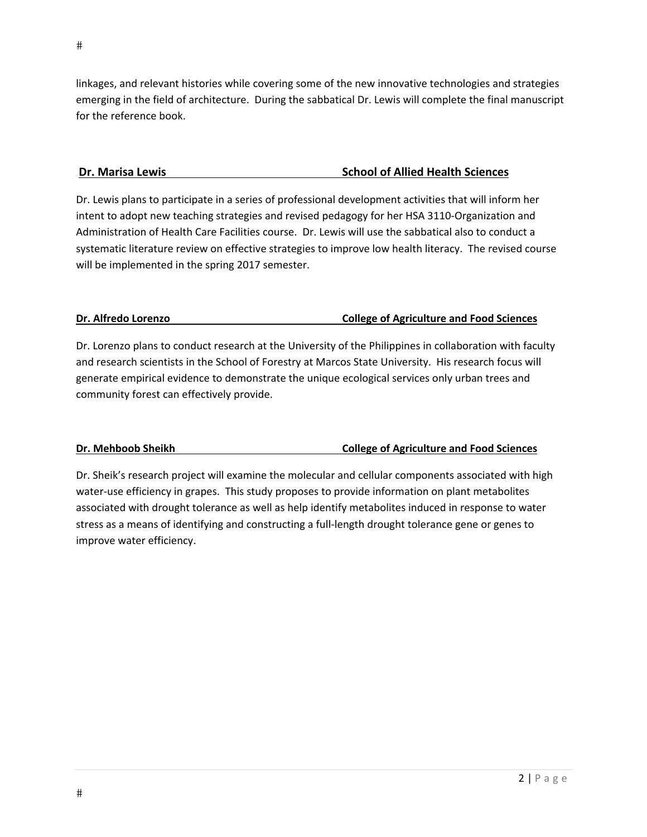linkages, and relevant histories while covering some of the new innovative technologies and strategies emerging in the field of architecture. During the sabbatical Dr. Lewis will complete the final manuscript for the reference book.

#### **Dr. Marisa Lewis School of Allied Health Sciences**

Dr. Lewis plans to participate in a series of professional development activities that will inform her intent to adopt new teaching strategies and revised pedagogy for her HSA 3110‐Organization and Administration of Health Care Facilities course. Dr. Lewis will use the sabbatical also to conduct a systematic literature review on effective strategies to improve low health literacy. The revised course will be implemented in the spring 2017 semester.

#### **Dr. Alfredo Lorenzo College of Agriculture and Food Sciences**

Dr. Lorenzo plans to conduct research at the University of the Philippines in collaboration with faculty and research scientists in the School of Forestry at Marcos State University. His research focus will generate empirical evidence to demonstrate the unique ecological services only urban trees and community forest can effectively provide.

### **Dr. Mehboob Sheikh College of Agriculture and Food Sciences**

Dr. Sheik's research project will examine the molecular and cellular components associated with high water-use efficiency in grapes. This study proposes to provide information on plant metabolites associated with drought tolerance as well as help identify metabolites induced in response to water stress as a means of identifying and constructing a full‐length drought tolerance gene or genes to improve water efficiency.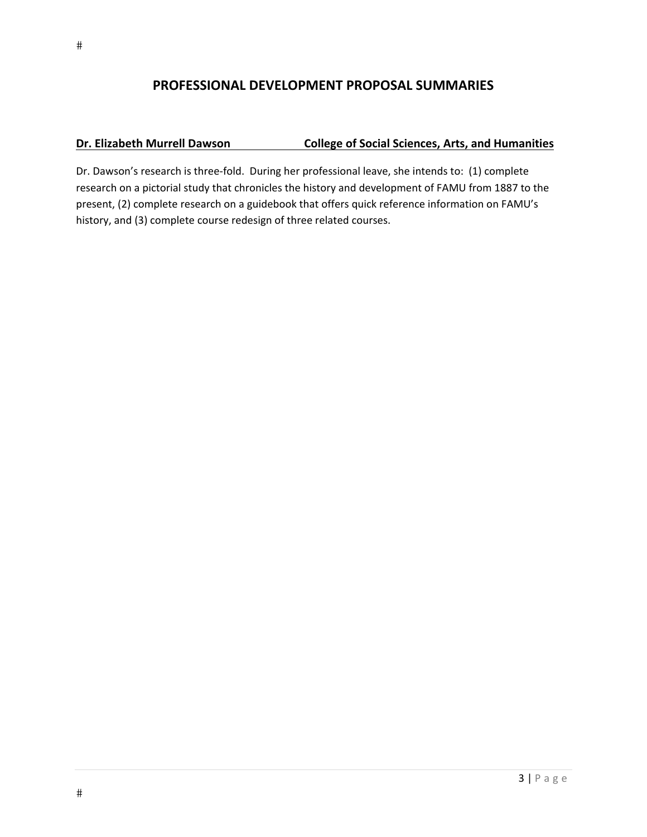### **PROFESSIONAL DEVELOPMENT PROPOSAL SUMMARIES**

#### **Dr. Elizabeth Murrell Dawson College of Social Sciences, Arts, and Humanities**

Dr. Dawson's research is three‐fold. During her professional leave, she intends to: (1) complete research on a pictorial study that chronicles the history and development of FAMU from 1887 to the present, (2) complete research on a guidebook that offers quick reference information on FAMU's history, and (3) complete course redesign of three related courses.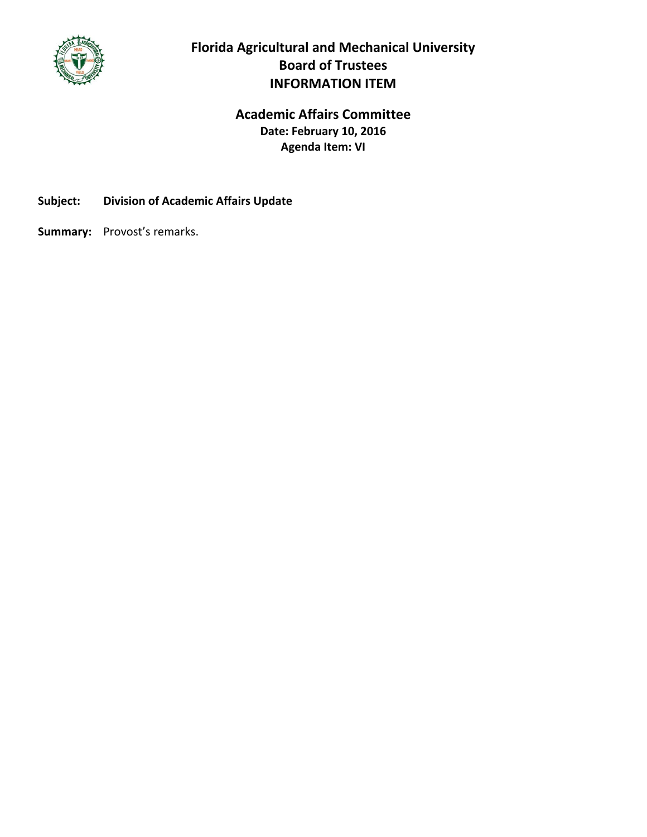

# **Florida Agricultural and Mechanical University Board of Trustees INFORMATION ITEM**

# **Academic Affairs Committee Date: February 10, 2016 Agenda Item: VI**

**Subject: Division of Academic Affairs Update**

Summary: Provost's remarks.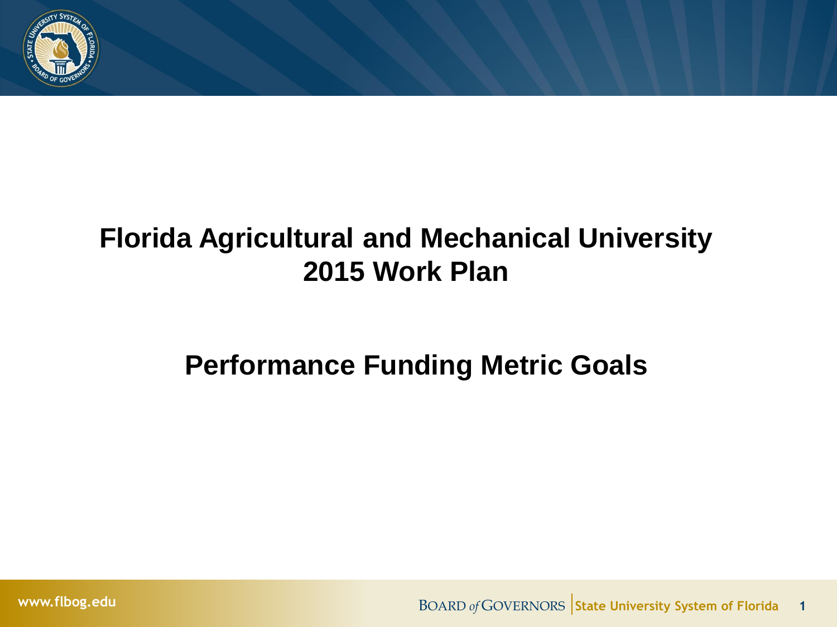

# **Florida Agricultural and Mechanical University 2015 Work Plan**

# **Performance Funding Metric Goals**

**www.flbog.edu BOARD** *of* GOVERNORS State University System of Florida 1